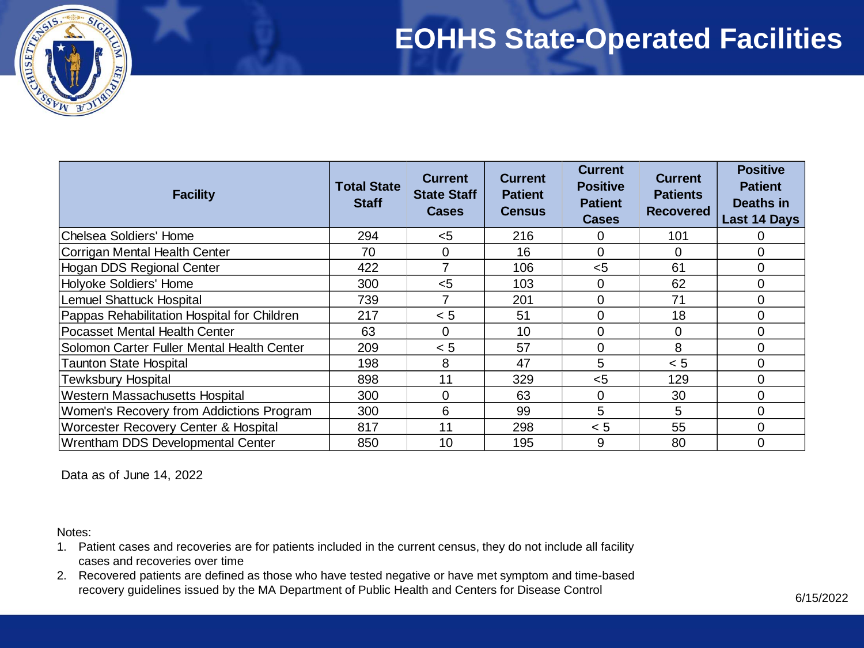### **EOHHS State-Operated Facilities**



| <b>Facility</b>                             | <b>Total State</b><br><b>Staff</b> | <b>Current</b><br><b>State Staff</b><br><b>Cases</b> | <b>Current</b><br><b>Patient</b><br><b>Census</b> | <b>Current</b><br><b>Positive</b><br><b>Patient</b><br><b>Cases</b> | <b>Current</b><br><b>Patients</b><br><b>Recovered</b> | <b>Positive</b><br><b>Patient</b><br>Deaths in<br>Last 14 Days |
|---------------------------------------------|------------------------------------|------------------------------------------------------|---------------------------------------------------|---------------------------------------------------------------------|-------------------------------------------------------|----------------------------------------------------------------|
| Chelsea Soldiers' Home                      | 294                                | $<$ 5                                                | 216                                               | 0                                                                   | 101                                                   | 0                                                              |
| Corrigan Mental Health Center               | 70                                 | $\Omega$                                             | 16                                                | 0                                                                   | 0                                                     | $\mathbf 0$                                                    |
| Hogan DDS Regional Center                   | 422                                |                                                      | 106                                               | $<$ 5                                                               | 61                                                    | $\mathbf 0$                                                    |
| Holyoke Soldiers' Home                      | 300                                | $5$                                                  | 103                                               | 0                                                                   | 62                                                    | $\mathbf 0$                                                    |
| Lemuel Shattuck Hospital                    | 739                                |                                                      | 201                                               | 0                                                                   | 71                                                    | $\mathbf 0$                                                    |
| Pappas Rehabilitation Hospital for Children | 217                                | < 5                                                  | 51                                                | $\overline{0}$                                                      | 18                                                    | $\mathbf 0$                                                    |
| Pocasset Mental Health Center               | 63                                 | $\Omega$                                             | 10                                                | 0                                                                   | 0                                                     | $\mathbf 0$                                                    |
| Solomon Carter Fuller Mental Health Center  | 209                                | < 5                                                  | 57                                                | 0                                                                   | 8                                                     | $\mathbf 0$                                                    |
| <b>Taunton State Hospital</b>               | 198                                | 8                                                    | 47                                                | 5                                                                   | < 5                                                   | $\mathbf 0$                                                    |
| <b>Tewksbury Hospital</b>                   | 898                                | 11                                                   | 329                                               | $5$                                                                 | 129                                                   | $\mathbf 0$                                                    |
| Western Massachusetts Hospital              | 300                                | $\Omega$                                             | 63                                                | 0                                                                   | 30                                                    | $\mathbf 0$                                                    |
| Women's Recovery from Addictions Program    | 300                                | 6                                                    | 99                                                | 5                                                                   | 5                                                     | $\mathbf 0$                                                    |
| Worcester Recovery Center & Hospital        | 817                                | 11                                                   | 298                                               | < 5                                                                 | 55                                                    | $\mathbf 0$                                                    |
| Wrentham DDS Developmental Center           | 850                                | 10                                                   | 195                                               | 9                                                                   | 80                                                    | 0                                                              |

Data as of June 14, 2022

Notes:

- 1. Patient cases and recoveries are for patients included in the current census, they do not include all facility cases and recoveries over time
- 2. Recovered patients are defined as those who have tested negative or have met symptom and time-based recovery guidelines issued by the MA Department of Public Health and Centers for Disease Control 6/15/2022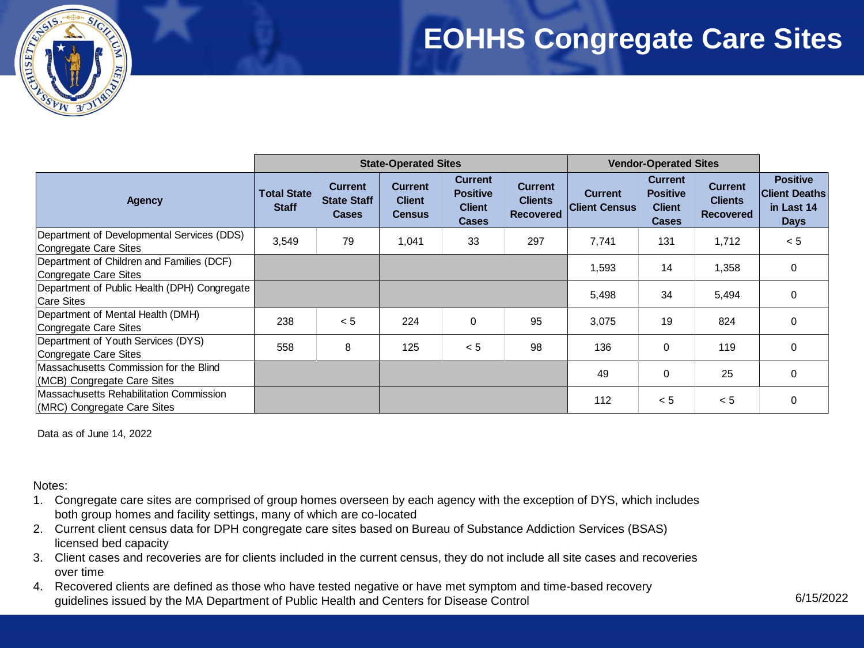### **EOHHS Congregate Care Sites**



|                                                                        | <b>State-Operated Sites</b>        |                                                      |                                                  | <b>Vendor-Operated Sites</b>                                       |                                                      |                                        |                                                                    |                                                      |                                                                      |
|------------------------------------------------------------------------|------------------------------------|------------------------------------------------------|--------------------------------------------------|--------------------------------------------------------------------|------------------------------------------------------|----------------------------------------|--------------------------------------------------------------------|------------------------------------------------------|----------------------------------------------------------------------|
| <b>Agency</b>                                                          | <b>Total State</b><br><b>Staff</b> | <b>Current</b><br><b>State Staff</b><br><b>Cases</b> | <b>Current</b><br><b>Client</b><br><b>Census</b> | <b>Current</b><br><b>Positive</b><br><b>Client</b><br><b>Cases</b> | <b>Current</b><br><b>Clients</b><br><b>Recovered</b> | <b>Current</b><br><b>Client Census</b> | <b>Current</b><br><b>Positive</b><br><b>Client</b><br><b>Cases</b> | <b>Current</b><br><b>Clients</b><br><b>Recovered</b> | <b>Positive</b><br><b>Client Deaths</b><br>in Last 14<br><b>Days</b> |
| Department of Developmental Services (DDS)<br>Congregate Care Sites    | 3,549                              | 79                                                   | 1,041                                            | 33                                                                 | 297                                                  | 7,741                                  | 131                                                                | 1,712                                                | < 5                                                                  |
| Department of Children and Families (DCF)<br>Congregate Care Sites     |                                    |                                                      |                                                  |                                                                    |                                                      | 1,593                                  | 14                                                                 | 1,358                                                | 0                                                                    |
| Department of Public Health (DPH) Congregate<br><b>Care Sites</b>      |                                    |                                                      |                                                  |                                                                    |                                                      | 5,498                                  | 34                                                                 | 5,494                                                | 0                                                                    |
| Department of Mental Health (DMH)<br>Congregate Care Sites             | 238                                | < 5                                                  | 224                                              | $\mathbf 0$                                                        | 95                                                   | 3,075                                  | 19                                                                 | 824                                                  | $\Omega$                                                             |
| Department of Youth Services (DYS)<br>Congregate Care Sites            | 558                                | 8                                                    | 125                                              | < 5                                                                | 98                                                   | 136                                    | $\mathbf 0$                                                        | 119                                                  | 0                                                                    |
| Massachusetts Commission for the Blind<br>(MCB) Congregate Care Sites  |                                    |                                                      |                                                  |                                                                    |                                                      | 49                                     | 0                                                                  | 25                                                   | 0                                                                    |
| Massachusetts Rehabilitation Commission<br>(MRC) Congregate Care Sites |                                    |                                                      |                                                  |                                                                    |                                                      | 112                                    | < 5                                                                | < 5                                                  | 0                                                                    |

Data as of June 14, 2022

Notes:

- 1. Congregate care sites are comprised of group homes overseen by each agency with the exception of DYS, which includes both group homes and facility settings, many of which are co-located
- 2. Current client census data for DPH congregate care sites based on Bureau of Substance Addiction Services (BSAS) licensed bed capacity
- 3. Client cases and recoveries are for clients included in the current census, they do not include all site cases and recoveries over time
- 4. Recovered clients are defined as those who have tested negative or have met symptom and time-based recovery guidelines issued by the MA Department of Public Health and Centers for Disease Control 6/15/2022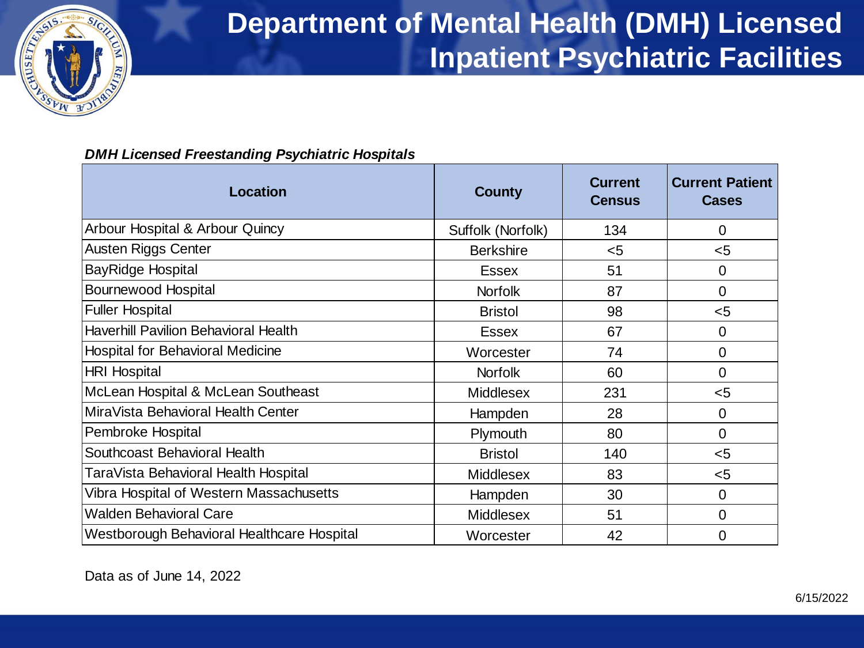

# **Department of Mental Health (DMH) Licensed Inpatient Psychiatric Facilities**

### *DMH Licensed Freestanding Psychiatric Hospitals*

| Location                                    | <b>County</b>     | <b>Current</b><br><b>Census</b> | <b>Current Patient</b><br><b>Cases</b> |
|---------------------------------------------|-------------------|---------------------------------|----------------------------------------|
| Arbour Hospital & Arbour Quincy             | Suffolk (Norfolk) | 134                             | $\overline{0}$                         |
| Austen Riggs Center                         | <b>Berkshire</b>  | $<$ 5                           | $5$                                    |
| BayRidge Hospital                           | <b>Essex</b>      | 51                              | $\Omega$                               |
| <b>Bournewood Hospital</b>                  | <b>Norfolk</b>    | 87                              | $\overline{0}$                         |
| <b>Fuller Hospital</b>                      | <b>Bristol</b>    | 98                              | $5$                                    |
| <b>Haverhill Pavilion Behavioral Health</b> | <b>Essex</b>      | 67                              | $\Omega$                               |
| <b>Hospital for Behavioral Medicine</b>     | Worcester         | 74                              | $\overline{0}$                         |
| <b>HRI Hospital</b>                         | <b>Norfolk</b>    | 60                              | $\Omega$                               |
| McLean Hospital & McLean Southeast          | <b>Middlesex</b>  | 231                             | $5$                                    |
| MiraVista Behavioral Health Center          | Hampden           | 28                              | $\overline{0}$                         |
| Pembroke Hospital                           | Plymouth          | 80                              | $\Omega$                               |
| Southcoast Behavioral Health                | <b>Bristol</b>    | 140                             | $5$                                    |
| TaraVista Behavioral Health Hospital        | <b>Middlesex</b>  | 83                              | $5$                                    |
| Vibra Hospital of Western Massachusetts     | Hampden           | 30                              | $\overline{0}$                         |
| <b>Walden Behavioral Care</b>               | <b>Middlesex</b>  | 51                              | $\overline{0}$                         |
| Westborough Behavioral Healthcare Hospital  | Worcester         | 42                              | 0                                      |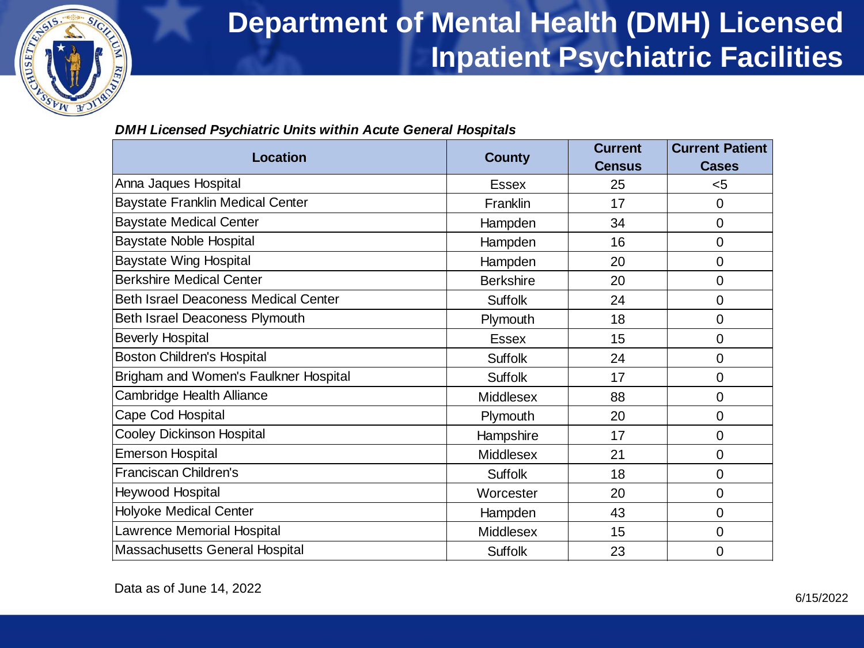

## **Department of Mental Health (DMH) Licensed Inpatient Psychiatric Facilities**

### *DMH Licensed Psychiatric Units within Acute General Hospitals*

|                                             |                  | <b>Current</b> | <b>Current Patient</b> |  |
|---------------------------------------------|------------------|----------------|------------------------|--|
| <b>Location</b>                             | <b>County</b>    | <b>Census</b>  | <b>Cases</b>           |  |
| Anna Jaques Hospital                        | Essex            | 25             | < 5                    |  |
| <b>Baystate Franklin Medical Center</b>     | Franklin         | 17             | 0                      |  |
| <b>Baystate Medical Center</b>              | Hampden          | 34             | 0                      |  |
| <b>Baystate Noble Hospital</b>              | Hampden          | 16             | 0                      |  |
| <b>Baystate Wing Hospital</b>               | Hampden          | 20             | 0                      |  |
| <b>Berkshire Medical Center</b>             | <b>Berkshire</b> | 20             | 0                      |  |
| <b>Beth Israel Deaconess Medical Center</b> | <b>Suffolk</b>   | 24             | 0                      |  |
| Beth Israel Deaconess Plymouth              | Plymouth         | 18             | 0                      |  |
| <b>Beverly Hospital</b>                     | <b>Essex</b>     | 15             | 0                      |  |
| <b>Boston Children's Hospital</b>           | <b>Suffolk</b>   | 24             | 0                      |  |
| Brigham and Women's Faulkner Hospital       | <b>Suffolk</b>   | 17             | 0                      |  |
| Cambridge Health Alliance                   | Middlesex        | 88             | 0                      |  |
| Cape Cod Hospital                           | Plymouth         | 20             | 0                      |  |
| <b>Cooley Dickinson Hospital</b>            | Hampshire        | 17             | 0                      |  |
| <b>Emerson Hospital</b>                     | Middlesex        | 21             | 0                      |  |
| <b>Franciscan Children's</b>                | Suffolk          | 18             | 0                      |  |
| Heywood Hospital                            | Worcester        | 20             | 0                      |  |
| Holyoke Medical Center                      | Hampden          | 43             | 0                      |  |
| Lawrence Memorial Hospital                  | Middlesex        | 15             | 0                      |  |
| Massachusetts General Hospital              | Suffolk          | 23             | 0                      |  |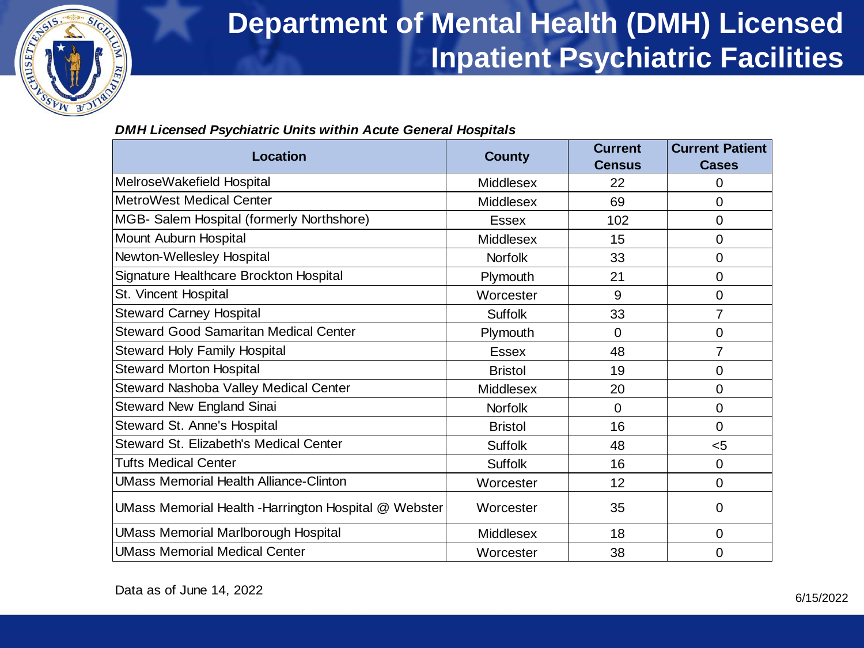

### **Department of Mental Health (DMH) Licensed Inpatient Psychiatric Facilities**

#### *DMH Licensed Psychiatric Units within Acute General Hospitals*

|                                                       |                  | <b>Current</b> | <b>Current Patient</b> |  |
|-------------------------------------------------------|------------------|----------------|------------------------|--|
| Location                                              | <b>County</b>    | <b>Census</b>  | <b>Cases</b>           |  |
| MelroseWakefield Hospital                             | <b>Middlesex</b> | 22             | 0                      |  |
| <b>MetroWest Medical Center</b>                       | <b>Middlesex</b> | 69             | 0                      |  |
| MGB- Salem Hospital (formerly Northshore)             | <b>Essex</b>     | 102            | 0                      |  |
| Mount Auburn Hospital                                 | <b>Middlesex</b> | 15             | 0                      |  |
| Newton-Wellesley Hospital                             | <b>Norfolk</b>   | 33             | 0                      |  |
| Signature Healthcare Brockton Hospital                | Plymouth         | 21             | 0                      |  |
| St. Vincent Hospital                                  | Worcester        | 9              | $\mathbf 0$            |  |
| <b>Steward Carney Hospital</b>                        | <b>Suffolk</b>   | 33             | 7                      |  |
| <b>Steward Good Samaritan Medical Center</b>          | Plymouth         | $\overline{0}$ | 0                      |  |
| <b>Steward Holy Family Hospital</b>                   | <b>Essex</b>     | 48             | 7                      |  |
| <b>Steward Morton Hospital</b>                        | <b>Bristol</b>   | 19             | 0                      |  |
| Steward Nashoba Valley Medical Center                 | <b>Middlesex</b> | 20             | $\overline{0}$         |  |
| Steward New England Sinai                             | <b>Norfolk</b>   | 0              | 0                      |  |
| Steward St. Anne's Hospital                           | <b>Bristol</b>   | 16             | $\Omega$               |  |
| Steward St. Elizabeth's Medical Center                | <b>Suffolk</b>   | 48             | $5$                    |  |
| Tufts Medical Center                                  | <b>Suffolk</b>   | 16             | 0                      |  |
| <b>UMass Memorial Health Alliance-Clinton</b>         | Worcester        | 12             | 0                      |  |
| UMass Memorial Health - Harrington Hospital @ Webster | Worcester        | 35             | 0                      |  |
| <b>UMass Memorial Marlborough Hospital</b>            | <b>Middlesex</b> | 18             | 0                      |  |
| <b>UMass Memorial Medical Center</b>                  | Worcester        | 38             | 0                      |  |